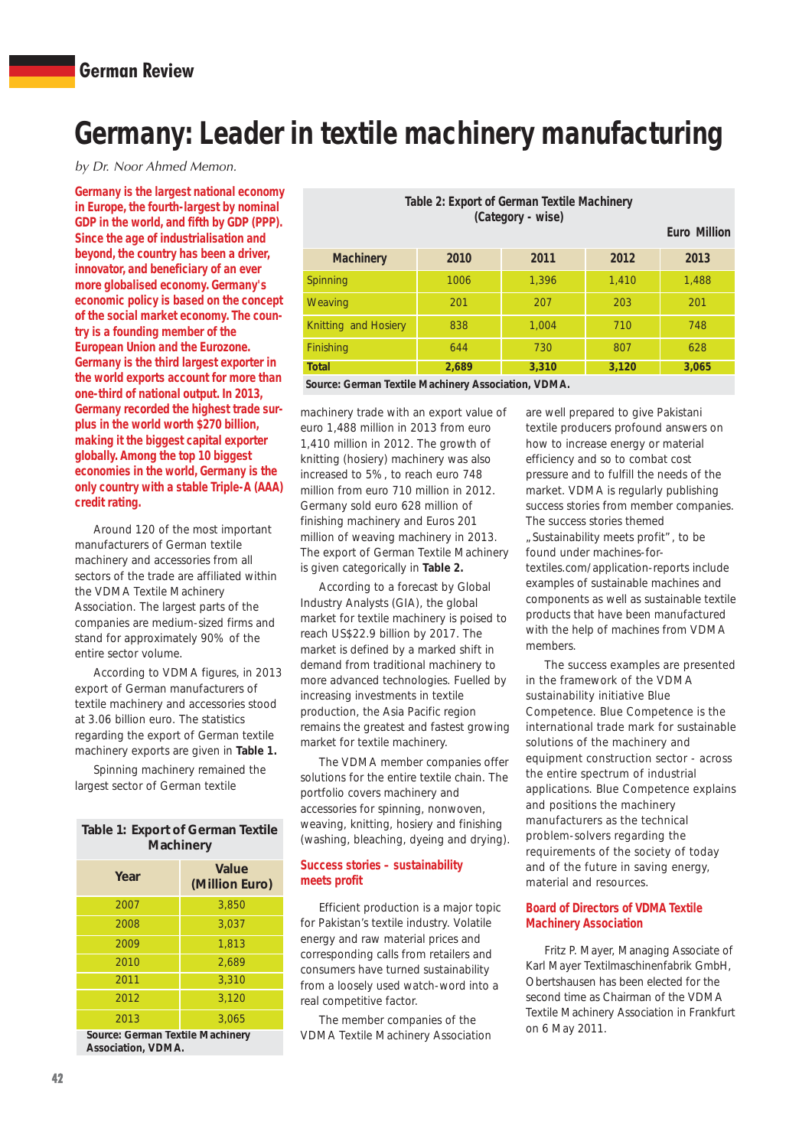# **Germany: Leader in textile machinery manufacturing**

by Dr. Noor Ahmed Memon.

**Germany is the largest national economy in Europe, the fourth-largest by nominal GDP in the world, and fifth by GDP (PPP). Since the age of industrialisation and beyond, the country has been a driver, innovator, and beneficiary of an ever more globalised economy. Germany's economic policy is based on the concept of the social market economy. The country is a founding member of the European Union and the Eurozone. Germany is the third largest exporter in the world exports account for more than one-third of national output. In 2013, Germany recorded the highest trade surplus in the world worth \$270 billion, making it the biggest capital exporter globally. Among the top 10 biggest economies in the world, Germany is the only country with a stable Triple-A (AAA) credit rating.**

Around 120 of the most important manufacturers of German textile machinery and accessories from all sectors of the trade are affiliated within the VDMA Textile Machinery Association. The largest parts of the companies are medium-sized firms and stand for approximately 90% of the entire sector volume.

According to VDMA figures, in 2013 export of German manufacturers of textile machinery and accessories stood at 3.06 billion euro. The statistics regarding the export of German textile machinery exports are given in **Table 1.**

Spinning machinery remained the largest sector of German textile

| <b>Table 1: Export of German Textile</b><br><b>Machinery</b> |                         |  |  |
|--------------------------------------------------------------|-------------------------|--|--|
| Year                                                         | Value<br>(Million Euro) |  |  |
| 2007                                                         | 3,850                   |  |  |
| 2008                                                         | 3,037                   |  |  |
| 2009                                                         | 1,813                   |  |  |
| 2010                                                         | 2,689                   |  |  |
| 2011                                                         | 3.310                   |  |  |
| 2012                                                         | 3,120                   |  |  |
| 2013                                                         | 3,065                   |  |  |
| Source: German Textile Machinery<br>Accociation VDMA         |                         |  |  |

**Association, VDMA.**

| Table 2: Export of German Textile Machinery<br>(Category - wise) |       |       |       |                     |
|------------------------------------------------------------------|-------|-------|-------|---------------------|
|                                                                  |       |       |       | <b>Euro Million</b> |
| <b>Machinery</b>                                                 | 2010  | 2011  | 2012  | 2013                |
| Spinning                                                         | 1006  | 1.396 | 1.410 | 1,488               |
| Weaving                                                          | 201   | 207   | 203   | 201                 |
| Knitting and Hosiery                                             | 838   | 1.004 | 710   | 748                 |
| <b>Finishing</b>                                                 | 644   | 730   | 807   | 628                 |
| <b>Total</b>                                                     | 2.689 | 3,310 | 3,120 | 3,065               |
| Course Cormon Toutile Meebinery Association J/DMA                |       |       |       |                     |

**Source: German Textile Machinery Association, VDMA.**

machinery trade with an export value of euro 1,488 million in 2013 from euro 1,410 million in 2012. The growth of knitting (hosiery) machinery was also increased to 5%, to reach euro 748 million from euro 710 million in 2012. Germany sold euro 628 million of finishing machinery and Euros 201 million of weaving machinery in 2013. The export of German Textile Machinery is given categorically in **Table 2.**

According to a forecast by Global Industry Analysts (GIA), the global market for textile machinery is poised to reach US\$22.9 billion by 2017. The market is defined by a marked shift in demand from traditional machinery to more advanced technologies. Fuelled by increasing investments in textile production, the Asia Pacific region remains the greatest and fastest growing market for textile machinery.

The VDMA member companies offer solutions for the entire textile chain. The portfolio covers machinery and accessories for spinning, nonwoven, weaving, knitting, hosiery and finishing (washing, bleaching, dyeing and drying).

#### **Success stories – sustainability meets profit**

Efficient production is a major topic for Pakistan's textile industry. Volatile energy and raw material prices and corresponding calls from retailers and consumers have turned sustainability from a loosely used watch-word into a real competitive factor.

The member companies of the VDMA Textile Machinery Association are well prepared to give Pakistani textile producers profound answers on how to increase energy or material efficiency and so to combat cost pressure and to fulfill the needs of the market. VDMA is regularly publishing success stories from member companies. The success stories themed "Sustainability meets profit", to be found under machines-fortextiles.com/application-reports include examples of sustainable machines and components as well as sustainable textile products that have been manufactured with the help of machines from VDMA members.

The success examples are presented in the framework of the VDMA sustainability initiative Blue Competence. Blue Competence is the international trade mark for sustainable solutions of the machinery and equipment construction sector - across the entire spectrum of industrial applications. Blue Competence explains and positions the machinery manufacturers as the technical problem-solvers regarding the requirements of the society of today and of the future in saving energy, material and resources.

#### **Board of Directors of VDMA Textile Machinery Association**

Fritz P. Mayer, Managing Associate of Karl Mayer Textilmaschinenfabrik GmbH, Obertshausen has been elected for the second time as Chairman of the VDMA Textile Machinery Association in Frankfurt on 6 May 2011.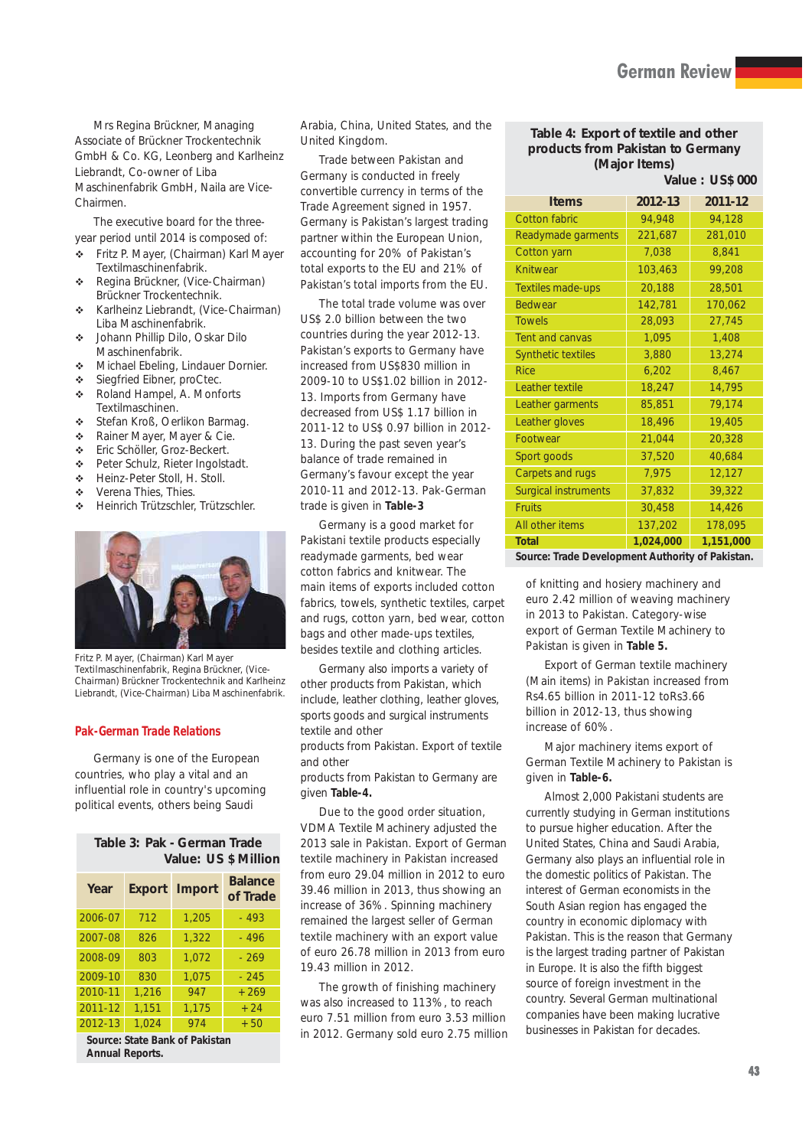Mrs Regina Brückner, Managing Associate of Brückner Trockentechnik GmbH & Co. KG, Leonberg and Karlheinz Liebrandt, Co-owner of Liba Maschinenfabrik GmbH, Naila are Vice-Chairmen.

The executive board for the threeyear period until 2014 is composed of:

- $\ddot{\cdot}$  Fritz P. Mayer, (Chairman) Karl Mayer Textilmaschinenfabrik.
- $\ddot{\cdot}$  Regina Brückner, (Vice-Chairman) Brückner Trockentechnik.
- $\ddot{\psi}$  Karlheinz Liebrandt, (Vice-Chairman) Liba Maschinenfabrik.
- $\frac{1}{2}$  Johann Phillip Dilo, Oskar Dilo Maschinenfabrik.
- $\ddot{\psi}$ Michael Ebeling, Lindauer Dornier.
- $\ddot{\phantom{a}}$ Siegfried Eibner, proCtec.
- $\ddot{\mathbf{r}}$  Roland Hampel, A. Monforts Textilmaschinen.
- -Stefan Kroß, Oerlikon Barmag.
- $\mathbf{r}^*$ Rainer Mayer, Mayer & Cie.
- $\mathbf{r}$ Eric Schöller, Groz-Beckert.
- $\ddot{\mathbf{c}}$ Peter Schulz, Rieter Ingolstadt.
- $\mathbf{r}^*$ Heinz-Peter Stoll, H. Stoll.
- $\mathcal{L}_{\mathbf{a}}$ Verena Thies, Thies.
- $\mathbf{r}$ Heinrich Trützschler, Trützschler.



*Fritz P. Mayer, (Chairman) Karl Mayer Textilmaschinenfabrik, Regina Brückner, (Vice-Chairman) Brückner Trockentechnik and Karlheinz Liebrandt, (Vice-Chairman) Liba Maschinenfabrik.*

#### **Pak-German Trade Relations**

Germany is one of the European countries, who play a vital and an influential role in country's upcoming political events, others being Saudi

| Table 3: Pak - German Trade |  |  |                      |
|-----------------------------|--|--|----------------------|
|                             |  |  | Value: US \$ Million |

| Year    |       | <b>Export Import</b> | <b>Balance</b><br>of Trade |
|---------|-------|----------------------|----------------------------|
| 2006-07 | 712   | 1,205                | $-493$                     |
| 2007-08 | 826   | 1.322                | $-496$                     |
| 2008-09 | 803   | 1.072                | $-269$                     |
| 2009-10 | 830   | 1,075                | $-245$                     |
| 2010-11 | 1,216 | 947                  | $+269$                     |
| 2011-12 | 1.151 | 1,175                | $+24$                      |
| 2012-13 | 1,024 | 974                  | $+50$                      |

**Source: State Bank of Pakistan Annual Reports.**

Arabia, China, United States, and the United Kingdom.

Trade between Pakistan and Germany is conducted in freely convertible currency in terms of the Trade Agreement signed in 1957. Germany is Pakistan's largest trading partner within the European Union, accounting for 20% of Pakistan's total exports to the EU and 21% of Pakistan's total imports from the EU.

The total trade volume was over US\$ 2.0 billion between the two countries during the year 2012-13. Pakistan's exports to Germany have increased from US\$830 million in 2009-10 to US\$1.02 billion in 2012- 13. Imports from Germany have decreased from US\$ 1.17 billion in 2011-12 to US\$ 0.97 billion in 2012- 13. During the past seven year's balance of trade remained in Germany's favour except the year 2010-11 and 2012-13. Pak-German trade is given in **Table-3**

Germany is a good market for Pakistani textile products especially readymade garments, bed wear cotton fabrics and knitwear. The main items of exports included cotton fabrics, towels, synthetic textiles, carpet and rugs, cotton yarn, bed wear, cotton bags and other made-ups textiles, besides textile and clothing articles.

Germany also imports a variety of other products from Pakistan, which include, leather clothing, leather gloves, sports goods and surgical instruments textile and other

products from Pakistan. Export of textile and other

products from Pakistan to Germany are given **Table-4.** 

Due to the good order situation, VDMA Textile Machinery adjusted the 2013 sale in Pakistan. Export of German textile machinery in Pakistan increased from euro 29.04 million in 2012 to euro 39.46 million in 2013, thus showing an increase of 36%. Spinning machinery remained the largest seller of German textile machinery with an export value of euro 26.78 million in 2013 from euro 19.43 million in 2012.

The growth of finishing machinery was also increased to 113%, to reach euro 7.51 million from euro 3.53 million in 2012. Germany sold euro 2.75 million

#### **Table 4: Export of textile and other products from Pakistan to Germany (Major Items)**

**Value : US\$ 000 Items 2012-13 2011-12** Cotton fabric 94,948 94,128 Readymade garments 221,687 281,010 Cotton yarn 7,038 8,841 Knitwear 103,463 99,208 Textiles made-ups 20,188 28,501 Bedwear 142,781 170,062 Towels 28,093 27,745 Tent and canvas 1,095 1,408 Synthetic textiles 3,880 13,274 Rice 6,202 8,467 Leather textile 18,247 14,795 Leather garments 85,851 79,174 Leather gloves 18,496 19,405 Footwear 21,044 20,328 Sport goods 37,520 40,684 Carpets and rugs  $\begin{array}{|c|c|c|c|c|c|} \hline 7,975 & 12,127 \hline \end{array}$ Surgical instruments 37,832 39,322 Fruits 30,458 14,426 All other items 137,202 178,095 **Total 1,024,000 1,151,000**

**Source: Trade Development Authority of Pakistan.**

of knitting and hosiery machinery and euro 2.42 million of weaving machinery in 2013 to Pakistan. Category-wise export of German Textile Machinery to Pakistan is given in **Table 5.**

Export of German textile machinery (Main items) in Pakistan increased from Rs4.65 billion in 2011-12 toRs3.66 billion in 2012-13, thus showing increase of 60%.

Major machinery items export of German Textile Machinery to Pakistan is given in **Table-6.**

Almost 2,000 Pakistani students are currently studying in German institutions to pursue higher education. After the United States, China and Saudi Arabia, Germany also plays an influential role in the domestic politics of Pakistan. The interest of German economists in the South Asian region has engaged the country in economic diplomacy with Pakistan. This is the reason that Germany is the largest trading partner of Pakistan in Europe. It is also the fifth biggest source of foreign investment in the country. Several German multinational companies have been making lucrative businesses in Pakistan for decades.